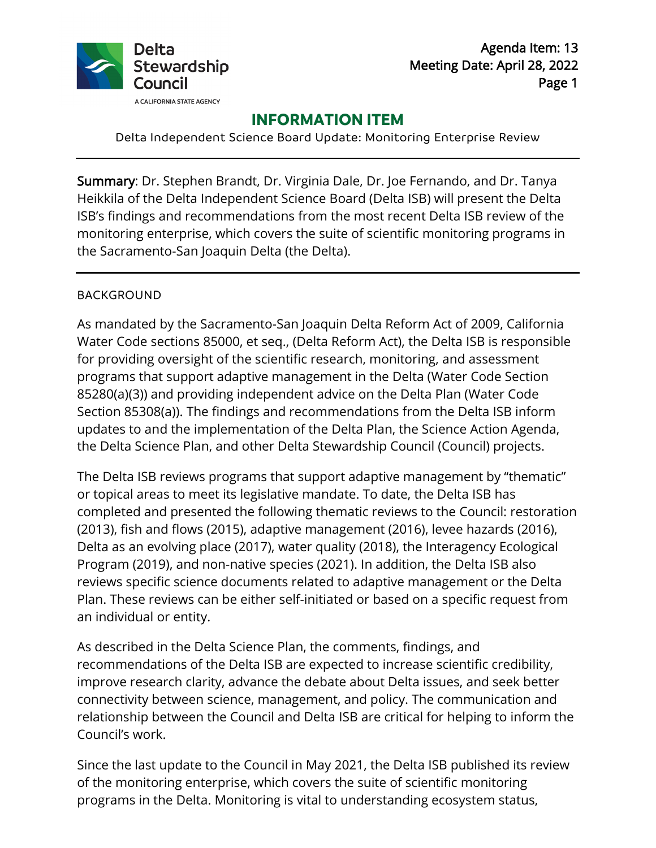

# **INFORMATION ITEM**

Delta Independent Science Board Update: Monitoring Enterprise Review

 Summary: Dr. Stephen Brandt, Dr. Virginia Dale, Dr. Joe Fernando, and Dr. Tanya Heikkila of the Delta Independent Science Board (Delta ISB) will present the Delta ISB's findings and recommendations from the most recent Delta ISB review of the monitoring enterprise, which covers the suite of scientific monitoring programs in the Sacramento-San Joaquin Delta (the Delta).

#### BACKGROUND

 updates to and the implementation of the Delta Plan, the Science Action Agenda, the Delta Science Plan, and other Delta Stewardship Council (Council) projects. As mandated by the Sacramento-San Joaquin Delta Reform Act of 2009, California Water Code sections 85000, et seq., (Delta Reform Act), the Delta ISB is responsible for providing oversight of the scientific research, monitoring, and assessment programs that support adaptive management in the Delta (Water Code Section 85280(a)(3)) and providing independent advice on the Delta Plan (Water Code Section 85308(a)). The findings and recommendations from the Delta ISB inform

the Delta Science Plan, and other Delta Stewardship Council (Council) projects.<br>The Delta ISB reviews programs that support adaptive management by "thematic" or topical areas to meet its legislative mandate. To date, the Delta ISB has completed and presented the following thematic reviews to the Council: restoration (2013), fish and flows (2015), adaptive management (2016), levee hazards (2016), Delta as an evolving place (2017), water quality (2018), the Interagency Ecological Program (2019), and non-native species (2021). In addition, the Delta ISB also reviews specific science documents related to adaptive management or the Delta Plan. These reviews can be either self-initiated or based on a specific request from an individual or entity.

 relationship between the Council and Delta ISB are critical for helping to inform the As described in the Delta Science Plan, the comments, findings, and recommendations of the Delta ISB are expected to increase scientific credibility, improve research clarity, advance the debate about Delta issues, and seek better connectivity between science, management, and policy. The communication and Council's work.

Since the last update to the Council in May 2021, the Delta ISB published its review of the monitoring enterprise, which covers the suite of scientific monitoring programs in the Delta. Monitoring is vital to understanding ecosystem status,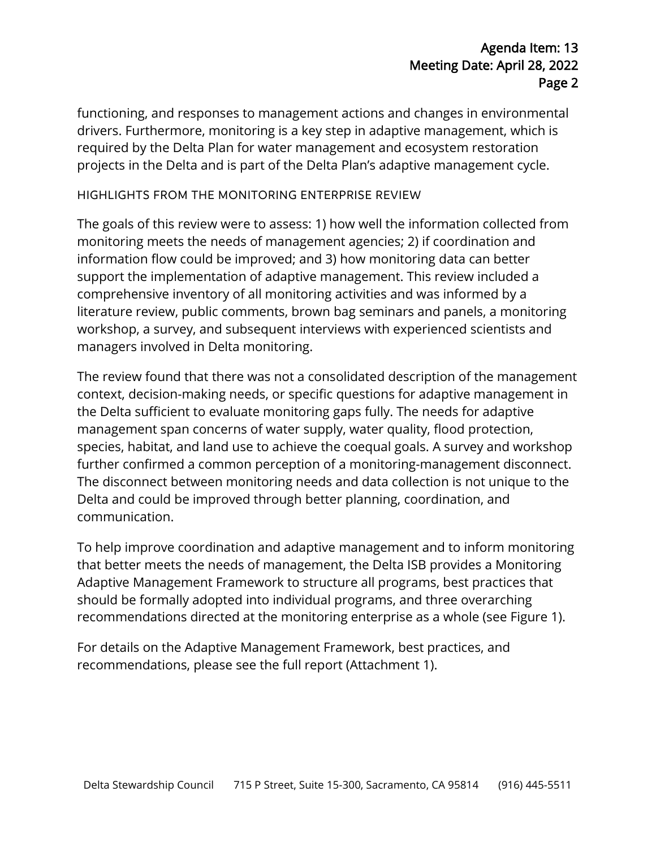## Agenda Item: 13 Meeting Date: April 28, 2022 Page 2

functioning, and responses to management actions and changes in environmental drivers. Furthermore, monitoring is a key step in adaptive management, which is required by the Delta Plan for water management and ecosystem restoration projects in the Delta and is part of the Delta Plan's adaptive management cycle.

#### HIGHLIGHTS FROM THE MONITORING ENTERPRISE REVIEW

The goals of this review were to assess: 1) how well the information collected from monitoring meets the needs of management agencies; 2) if coordination and information flow could be improved; and 3) how monitoring data can better support the implementation of adaptive management. This review included a comprehensive inventory of all monitoring activities and was informed by a literature review, public comments, brown bag seminars and panels, a monitoring workshop, a survey, and subsequent interviews with experienced scientists and managers involved in Delta monitoring.

 species, habitat, and land use to achieve the coequal goals. A survey and workshop communication. The review found that there was not a consolidated description of the management context, decision-making needs, or specific questions for adaptive management in the Delta sufficient to evaluate monitoring gaps fully. The needs for adaptive management span concerns of water supply, water quality, flood protection, further confirmed a common perception of a monitoring-management disconnect. The disconnect between monitoring needs and data collection is not unique to the Delta and could be improved through better planning, coordination, and

 that better meets the needs of management, the Delta ISB provides a Monitoring recommendations directed at the monitoring enterprise as a whole (see Figure 1).<br>For details on the Adaptive Management Framework, best practices, and To help improve coordination and adaptive management and to inform monitoring Adaptive Management Framework to structure all programs, best practices that should be formally adopted into individual programs, and three overarching

recommendations, please see the full report (Attachment 1).